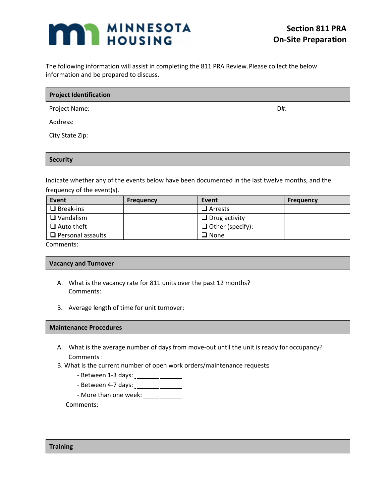# **MI MINNESOTA**

The following information will assist in completing the 811 PRA Review. Please collect the below information and be prepared to discuss.

| <b>Project Identification</b> |  |  |
|-------------------------------|--|--|
|                               |  |  |

Project Name: D#:

Address:

City State Zip:

### **Security**

Indicate whether any of the events below have been documented in the last twelve months, and the frequency of the event(s).

| Event                    | <b>Frequency</b> | Event                   | <b>Frequency</b> |
|--------------------------|------------------|-------------------------|------------------|
| $\Box$ Break-ins         |                  | $\Box$ Arrests          |                  |
| $\Box$ Vandalism         |                  | $\Box$ Drug activity    |                  |
| $\Box$ Auto theft        |                  | $\Box$ Other (specify): |                  |
| $\Box$ Personal assaults |                  | $\square$ None          |                  |

Comments:

## **Vacancy and Turnover**

- A. What is the vacancy rate for 811 units over the past 12 months? Comments:
- B. Average length of time for unit turnover:

#### **Maintenance Procedures**

- A. What is the average number of days from move-out until the unit is ready for occupancy? Comments :
- B. What is the current number of open work orders/maintenance requests:
	- Between 1-3 days:
	- Between 4-7 days:
	- More than one week: \_\_\_\_\_ \_\_\_\_\_\_

Comments:

**Training**